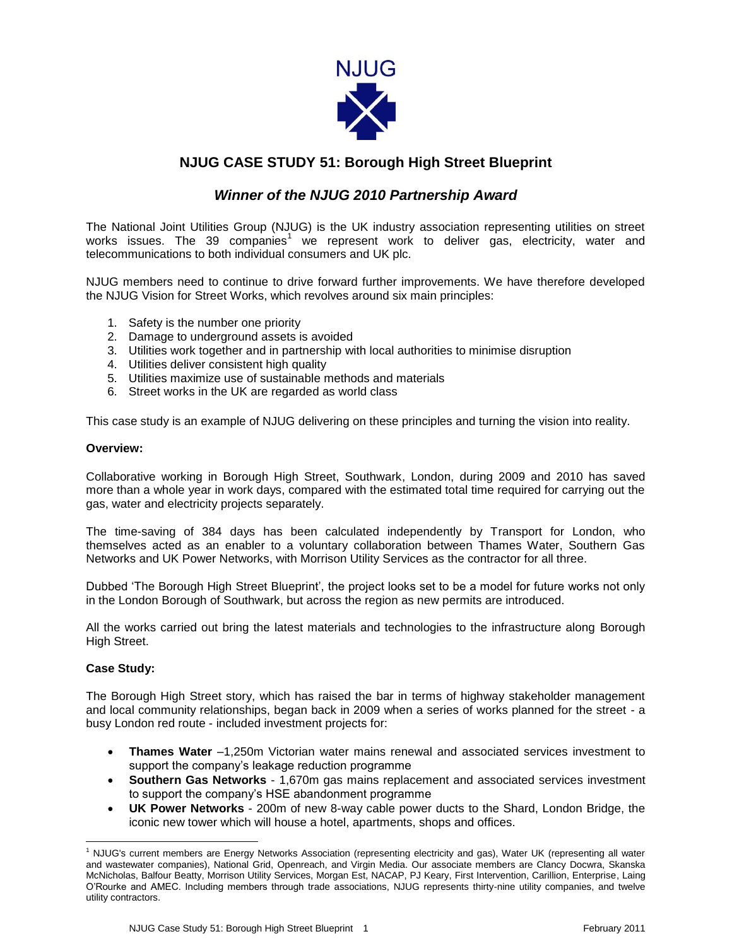

## **NJUG CASE STUDY 51: Borough High Street Blueprint**

## *Winner of the NJUG 2010 Partnership Award*

The National Joint Utilities Group (NJUG) is the UK industry association representing utilities on street works issues. The 39 companies<sup>1</sup> we represent work to deliver gas, electricity, water and telecommunications to both individual consumers and UK plc.

NJUG members need to continue to drive forward further improvements. We have therefore developed the NJUG Vision for Street Works, which revolves around six main principles:

- 1. Safety is the number one priority
- 2. Damage to underground assets is avoided
- 3. Utilities work together and in partnership with local authorities to minimise disruption
- 4. Utilities deliver consistent high quality
- 5. Utilities maximize use of sustainable methods and materials
- 6. Street works in the UK are regarded as world class

This case study is an example of NJUG delivering on these principles and turning the vision into reality.

## **Overview:**

Collaborative working in Borough High Street, Southwark, London, during 2009 and 2010 has saved more than a whole year in work days, compared with the estimated total time required for carrying out the gas, water and electricity projects separately.

The time-saving of 384 days has been calculated independently by Transport for London, who themselves acted as an enabler to a voluntary collaboration between Thames Water, Southern Gas Networks and UK Power Networks, with Morrison Utility Services as the contractor for all three.

Dubbed 'The Borough High Street Blueprint', the project looks set to be a model for future works not only in the London Borough of Southwark, but across the region as new permits are introduced.

All the works carried out bring the latest materials and technologies to the infrastructure along Borough High Street.

## **Case Study:**

The Borough High Street story, which has raised the bar in terms of highway stakeholder management and local community relationships, began back in 2009 when a series of works planned for the street - a busy London red route - included investment projects for:

- **Thames Water** –1,250m Victorian water mains renewal and associated services investment to support the company's leakage reduction programme
- **Southern Gas Networks** 1,670m gas mains replacement and associated services investment to support the company's HSE abandonment programme
- **UK Power Networks** 200m of new 8-way cable power ducts to the Shard, London Bridge, the iconic new tower which will house a hotel, apartments, shops and offices.

 $\overline{\phantom{a}}$ <sup>1</sup> NJUG's current members are Energy Networks Association (representing electricity and gas), Water UK (representing all water and wastewater companies), National Grid, Openreach, and Virgin Media. Our associate members are Clancy Docwra, Skanska McNicholas, Balfour Beatty, Morrison Utility Services, Morgan Est, NACAP, PJ Keary, First Intervention, Carillion, Enterprise, Laing O'Rourke and AMEC. Including members through trade associations, NJUG represents thirty-nine utility companies, and twelve utility contractors.